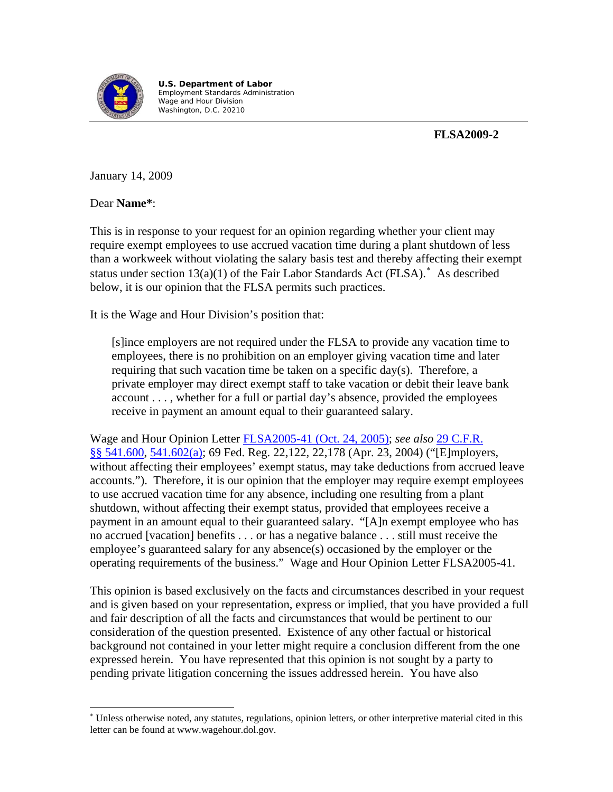

**U.S. Department of Labor**  Employment Standards Administration Wage and Hour Division Washington, D.C. 20210

## **FLSA2009-2**

January 14, 2009

Dear **Name\***:

 $\overline{a}$ 

This is in response to your request for an opinion regarding whether your client may require exempt employees to use accrued vacation time during a plant shutdown of less than a workweek without violating the salary basis test and thereby affecting their exempt status under section  $13(a)(1)$  of the Fair Labor Standards Act (FLSA).<sup>\*</sup> As described below, it is our opinion that the FLSA permits such practices.

It is the Wage and Hour Division's position that:

[s]ince employers are not required under the FLSA to provide any vacation time to employees, there is no prohibition on an employer giving vacation time and later requiring that such vacation time be taken on a specific day(s). Therefore, a private employer may direct exempt staff to take vacation or debit their leave bank account . . . , whether for a full or partial day's absence, provided the employees receive in payment an amount equal to their guaranteed salary.

Wage and Hour Opinion Letter [FLSA2005-41 \(Oct. 24, 2005\);](http://www.dol.gov/whd/opinion/FLSA/2005/2005_10_24_41_FLSA.pdf) *see also* [29 C.F.R.](http://www.dol.gov/dol/allcfr/Title_29/Part_541/29CFR541.600.htm)  [§§ 541.600](http://www.dol.gov/dol/allcfr/Title_29/Part_541/29CFR541.600.htm), [541.602\(a\)](http://www.dol.gov/dol/allcfr/Title_29/Part_541/29CFR541.602.htm); 69 Fed. Reg. 22,122, 22,178 (Apr. 23, 2004) ("[E]mployers, without affecting their employees' exempt status, may take deductions from accrued leave accounts."). Therefore, it is our opinion that the employer may require exempt employees to use accrued vacation time for any absence, including one resulting from a plant shutdown, without affecting their exempt status, provided that employees receive a payment in an amount equal to their guaranteed salary. "[A]n exempt employee who has no accrued [vacation] benefits . . . or has a negative balance . . . still must receive the employee's guaranteed salary for any absence(s) occasioned by the employer or the operating requirements of the business." Wage and Hour Opinion Letter FLSA2005-41.

This opinion is based exclusively on the facts and circumstances described in your request and is given based on your representation, express or implied, that you have provided a full and fair description of all the facts and circumstances that would be pertinent to our consideration of the question presented. Existence of any other factual or historical background not contained in your letter might require a conclusion different from the one expressed herein. You have represented that this opinion is not sought by a party to pending private litigation concerning the issues addressed herein. You have also

<span id="page-0-0"></span><sup>∗</sup> Unless otherwise noted, any statutes, regulations, opinion letters, or other interpretive material cited in this letter can be found at www.wagehour.dol.gov.